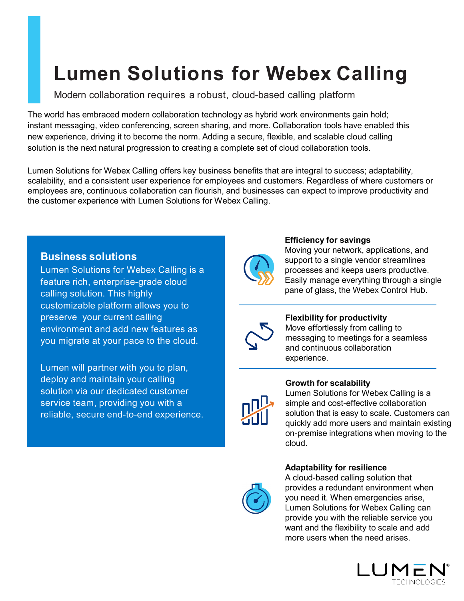# **Lumen Solutions for Webex Calling**

Modern collaboration requires a robust, cloud-based calling platform

The world has embraced modern collaboration technology as hybrid work environments gain hold; instant messaging, video conferencing, screen sharing, and more. Collaboration tools have enabled this new experience, driving it to become the norm. Adding a secure, flexible, and scalable cloud calling solution is the next natural progression to creating a complete set of cloud collaboration tools.

Lumen Solutions for Webex Calling offers key business benefits that are integral to success; adaptability, scalability, and a consistent user experience for employees and customers. Regardless of where customers or employees are, continuous collaboration can flourish, and businesses can expect to improve productivity and the customer experience with Lumen Solutions for Webex Calling.

# **Business solutions**

Lumen Solutions for Webex Calling is a feature rich, enterprise-grade cloud calling solution. This highly customizable platform allows you to preserve your current calling environment and add new features as you migrate at your pace to the cloud.

Lumen will partner with you to plan, deploy and maintain your calling solution via our dedicated customer service team, providing you with a reliable, secure end-to-end experience.



## **Efficiency for savings**

Moving your network, applications, and support to a single vendor streamlines processes and keeps users productive. Easily manage everything through a single pane of glass, the Webex Control Hub.



# **Flexibility for productivity**

Move effortlessly from calling to messaging to meetings for a seamless and continuous collaboration experience.



#### **Growth for scalability**

Lumen Solutions for Webex Calling is a simple and cost-effective collaboration solution that is easy to scale. Customers can quickly add more users and maintain existing on-premise integrations when moving to the cloud.

# **Adaptability for resilience**



A cloud-based calling solution that provides a redundant environment when you need it. When emergencies arise, Lumen Solutions for Webex Calling can provide you with the reliable service you want and the flexibility to scale and add more users when the need arises.